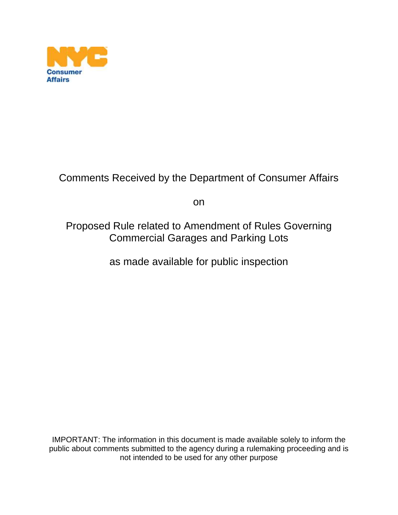

## Comments Received by the Department of Consumer Affairs

on

Proposed Rule related to Amendment of Rules Governing Commercial Garages and Parking Lots

as made available for public inspection

IMPORTANT: The information in this document is made available solely to inform the public about comments submitted to the agency during a rulemaking proceeding and is not intended to be used for any other purpose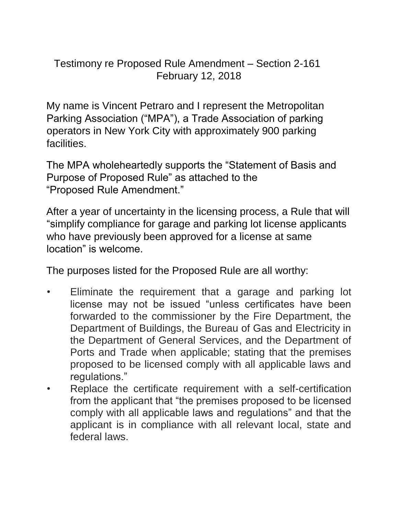Testimony re Proposed Rule Amendment – Section 2-161 February 12, 2018

My name is Vincent Petraro and I represent the Metropolitan Parking Association ("MPA"), a Trade Association of parking operators in New York City with approximately 900 parking facilities.

The MPA wholeheartedly supports the "Statement of Basis and Purpose of Proposed Rule" as attached to the "Proposed Rule Amendment."

After a year of uncertainty in the licensing process, a Rule that will "simplify compliance for garage and parking lot license applicants who have previously been approved for a license at same location" is welcome.

The purposes listed for the Proposed Rule are all worthy:

- Eliminate the requirement that a garage and parking lot license may not be issued "unless certificates have been forwarded to the commissioner by the Fire Department, the Department of Buildings, the Bureau of Gas and Electricity in the Department of General Services, and the Department of Ports and Trade when applicable; stating that the premises proposed to be licensed comply with all applicable laws and regulations."
- Replace the certificate requirement with a self-certification from the applicant that "the premises proposed to be licensed comply with all applicable laws and regulations" and that the applicant is in compliance with all relevant local, state and federal laws.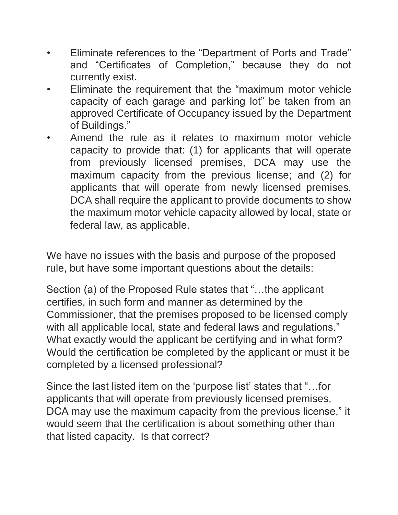- Eliminate references to the "Department of Ports and Trade" and "Certificates of Completion," because they do not currently exist.
- Eliminate the requirement that the "maximum motor vehicle capacity of each garage and parking lot" be taken from an approved Certificate of Occupancy issued by the Department of Buildings."
- Amend the rule as it relates to maximum motor vehicle capacity to provide that: (1) for applicants that will operate from previously licensed premises, DCA may use the maximum capacity from the previous license; and (2) for applicants that will operate from newly licensed premises, DCA shall require the applicant to provide documents to show the maximum motor vehicle capacity allowed by local, state or federal law, as applicable.

We have no issues with the basis and purpose of the proposed rule, but have some important questions about the details:

Section (a) of the Proposed Rule states that "…the applicant certifies, in such form and manner as determined by the Commissioner, that the premises proposed to be licensed comply with all applicable local, state and federal laws and regulations." What exactly would the applicant be certifying and in what form? Would the certification be completed by the applicant or must it be completed by a licensed professional?

Since the last listed item on the 'purpose list' states that "…for applicants that will operate from previously licensed premises, DCA may use the maximum capacity from the previous license," it would seem that the certification is about something other than that listed capacity. Is that correct?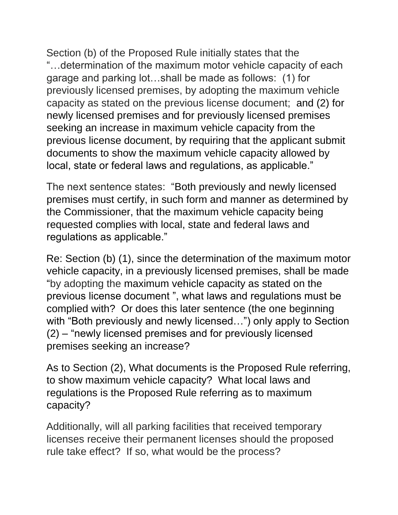Section (b) of the Proposed Rule initially states that the "…determination of the maximum motor vehicle capacity of each garage and parking lot…shall be made as follows: (1) for previously licensed premises, by adopting the maximum vehicle capacity as stated on the previous license document; and (2) for newly licensed premises and for previously licensed premises seeking an increase in maximum vehicle capacity from the previous license document, by requiring that the applicant submit documents to show the maximum vehicle capacity allowed by local, state or federal laws and regulations, as applicable."

The next sentence states: "Both previously and newly licensed premises must certify, in such form and manner as determined by the Commissioner, that the maximum vehicle capacity being requested complies with local, state and federal laws and regulations as applicable."

Re: Section (b) (1), since the determination of the maximum motor vehicle capacity, in a previously licensed premises, shall be made "by adopting the maximum vehicle capacity as stated on the previous license document ", what laws and regulations must be complied with? Or does this later sentence (the one beginning with "Both previously and newly licensed…") only apply to Section (2) – "newly licensed premises and for previously licensed premises seeking an increase?

As to Section (2), What documents is the Proposed Rule referring, to show maximum vehicle capacity? What local laws and regulations is the Proposed Rule referring as to maximum capacity?

Additionally, will all parking facilities that received temporary licenses receive their permanent licenses should the proposed rule take effect? If so, what would be the process?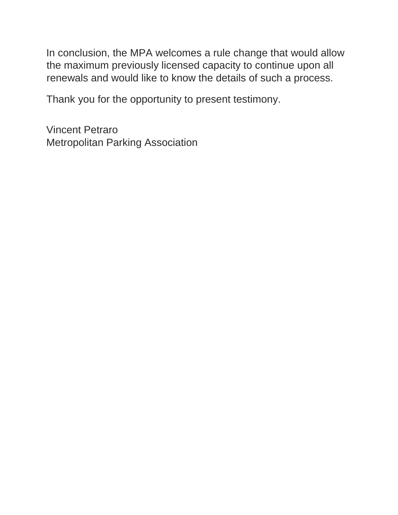In conclusion, the MPA welcomes a rule change that would allow the maximum previously licensed capacity to continue upon all renewals and would like to know the details of such a process.

Thank you for the opportunity to present testimony.

Vincent Petraro Metropolitan Parking Association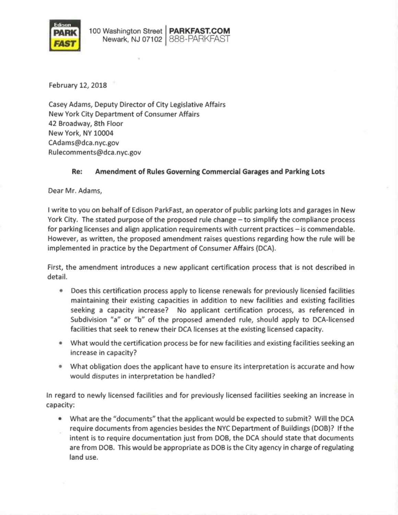

February 12, 2018

Casey Adams, Deputy Director of City Legislative Affairs New York City Department of Consumer Affairs 42 Broadway, 8th Floor New York, NY 10004 CAdams@dca.nyc.gov Rulecomments@dca.nyc.gov

## Re: Amendment of Rules Governing Commercial Garages and Parking Lots

Dear Mr. Adams,

I write to you on behalf of Edison ParkFast, an operator of public parking lots and garages in New York City. The stated purpose of the proposed rule change - to simplify the compliance process for parking licenses and align application requirements with current practices - is commendable. However, as written, the proposed amendment raises questions regarding how the rule will be implemented in practice by the Department of Consumer Affairs (DCA).

First, the amendment introduces a new applicant certification process that is not described in detail.

- Does this certification process apply to license renewals for previously licensed facilities maintaining their existing capacities in addition to new facilities and existing facilities seeking a capacity increase? No applicant certification process, as referenced in Subdivision "a" or "b" of the proposed amended rule, should apply to DCA-licensed facilities that seek to renew their DCA licenses at the existing licensed capacity.
- What would the certification process be for new facilities and existing facilities seeking an increase in capacity?
- What obligation does the applicant have to ensure its interpretation is accurate and how would disputes in interpretation be handled?

In regard to newly licensed facilities and for previously licensed facilities seeking an increase in capacity:

• What are the "documents" that the applicant would be expected to submit? Will the DCA require documents from agencies besides the NYC Department of Buildings (DOB)? If the intent is to require documentation just from DOB, the DCA should state that documents are from DOB. This would be appropriate as DOB is the City agency in charge of regulating land use.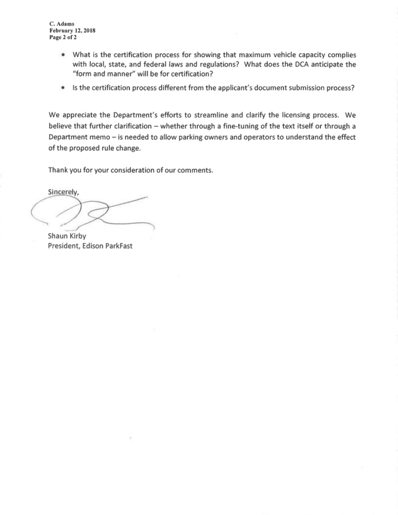C. Adams **February 12, 2018** Page 2 of 2

- What is the certification process for showing that maximum vehicle capacity complies with local, state, and federal laws and regulations? What does the DCA anticipate the "form and manner" will be for certification?
- Is the certification process different from the applicant's document submission process?

We appreciate the Department's efforts to streamline and clarify the licensing process. We believe that further clarification - whether through a fine-tuning of the text itself or through a Department memo - is needed to allow parking owners and operators to understand the effect of the proposed rule change.

Thank you for your consideration of our comments.

Sincerely,

Shaun Kirby President, Edison ParkFast